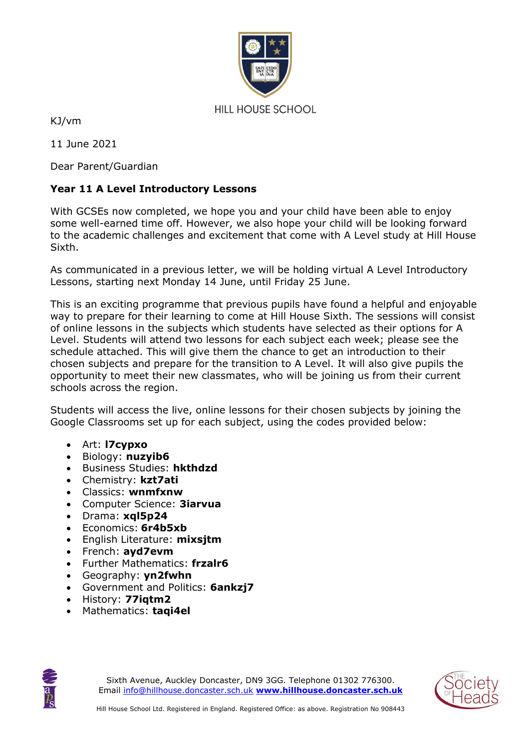

KJ/vm

11 June 2021

Dear Parent/Guardian

### **Year 11 A Level Introductory Lessons**

With GCSEs now completed, we hope you and your child have been able to enjoy some well-earned time off. However, we also hope your child will be looking forward to the academic challenges and excitement that come with A Level study at Hill House Sixth.

As communicated in a previous letter, we will be holding virtual A Level Introductory Lessons, starting next Monday 14 June, until Friday 25 June.

This is an exciting programme that previous pupils have found a helpful and enjoyable way to prepare for their learning to come at Hill House Sixth. The sessions will consist of online lessons in the subjects which students have selected as their options for A Level. Students will attend two lessons for each subject each week; please see the schedule attached. This will give them the chance to get an introduction to their chosen subjects and prepare for the transition to A Level. It will also give pupils the opportunity to meet their new classmates, who will be joining us from their current schools across the region.

Students will access the live, online lessons for their chosen subjects by joining the Google Classrooms set up for each subject, using the codes provided below:

- Art: **l7cypxo**
- Biology: **nuzyib6**
- Business Studies: **hkthdzd**
- Chemistry: **kzt7ati**
- Classics: **wnmfxnw**
- Computer Science: **3iarvua**
- Drama: **xql5p24**
- Economics: **6r4b5xb**
- English Literature: **mixsjtm**
- French: **ayd7evm**
- Further Mathematics: **frzalr6**
- Geography: **yn2fwhn**
- Government and Politics: **6ankzj7**
- History: **77iqtm2**
- Mathematics: **taqi4el**



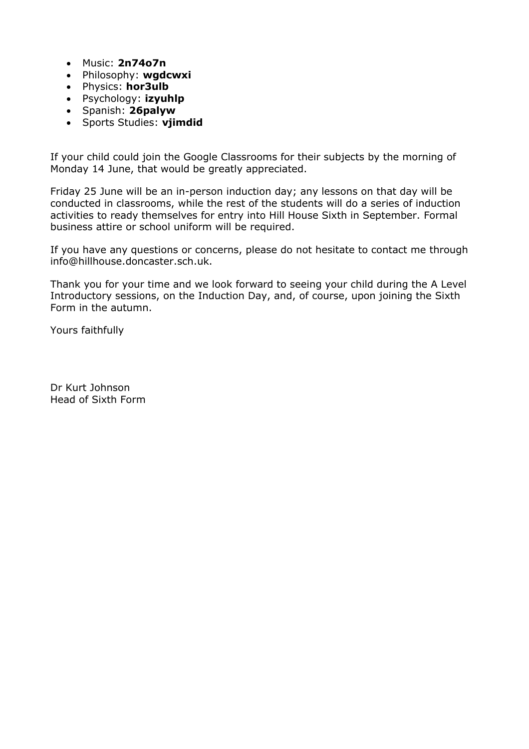- Music: **2n74o7n**
- Philosophy: **wgdcwxi**
- Physics: **hor3ulb**
- Psychology: **izyuhlp**
- Spanish: **26palyw**
- Sports Studies: **vjimdid**

If your child could join the Google Classrooms for their subjects by the morning of Monday 14 June, that would be greatly appreciated.

Friday 25 June will be an in-person induction day; any lessons on that day will be conducted in classrooms, while the rest of the students will do a series of induction activities to ready themselves for entry into Hill House Sixth in September. Formal business attire or school uniform will be required.

If you have any questions or concerns, please do not hesitate to contact me through info@hillhouse.doncaster.sch.uk.

Thank you for your time and we look forward to seeing your child during the A Level Introductory sessions, on the Induction Day, and, of course, upon joining the Sixth Form in the autumn.

Yours faithfully

Dr Kurt Johnson Head of Sixth Form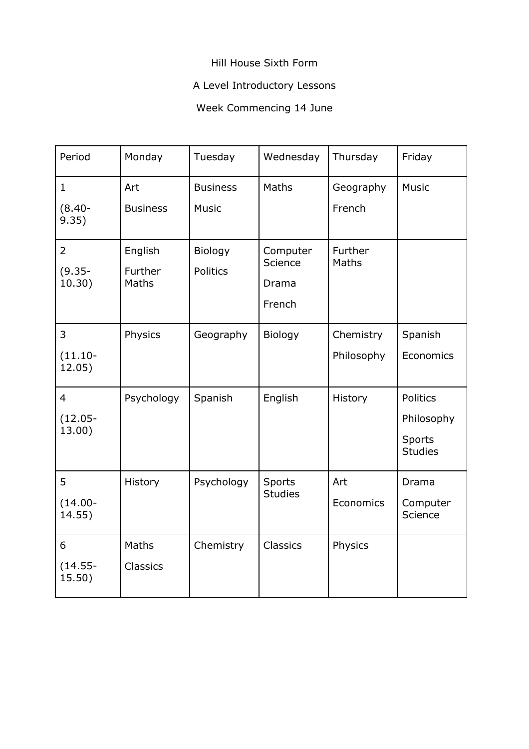### Hill House Sixth Form

# A Level Introductory Lessons

# Week Commencing 14 June

| Period                                 | Monday                      | Tuesday                         | Wednesday                              | Thursday                | Friday                                             |
|----------------------------------------|-----------------------------|---------------------------------|----------------------------------------|-------------------------|----------------------------------------------------|
| $\mathbf{1}$<br>$(8.40 -$<br>9.35)     | Art<br><b>Business</b>      | <b>Business</b><br><b>Music</b> | Maths                                  | Geography<br>French     | <b>Music</b>                                       |
| $\overline{2}$<br>$(9.35 -$<br>10.30)  | English<br>Further<br>Maths | Biology<br>Politics             | Computer<br>Science<br>Drama<br>French | Further<br>Maths        |                                                    |
| 3<br>$(11.10 -$<br>12.05)              | Physics                     | Geography                       | Biology                                | Chemistry<br>Philosophy | Spanish<br>Economics                               |
| $\overline{4}$<br>$(12.05 -$<br>13.00) | Psychology                  | Spanish                         | English                                | History                 | Politics<br>Philosophy<br>Sports<br><b>Studies</b> |
| 5<br>$(14.00 -$<br>14.55)              | History                     | Psychology                      | Sports<br><b>Studies</b>               | Art<br>Economics        | Drama<br>Computer<br>Science                       |
| 6<br>$(14.55 -$<br>15.50)              | Maths<br>Classics           | Chemistry                       | <b>Classics</b>                        | Physics                 |                                                    |